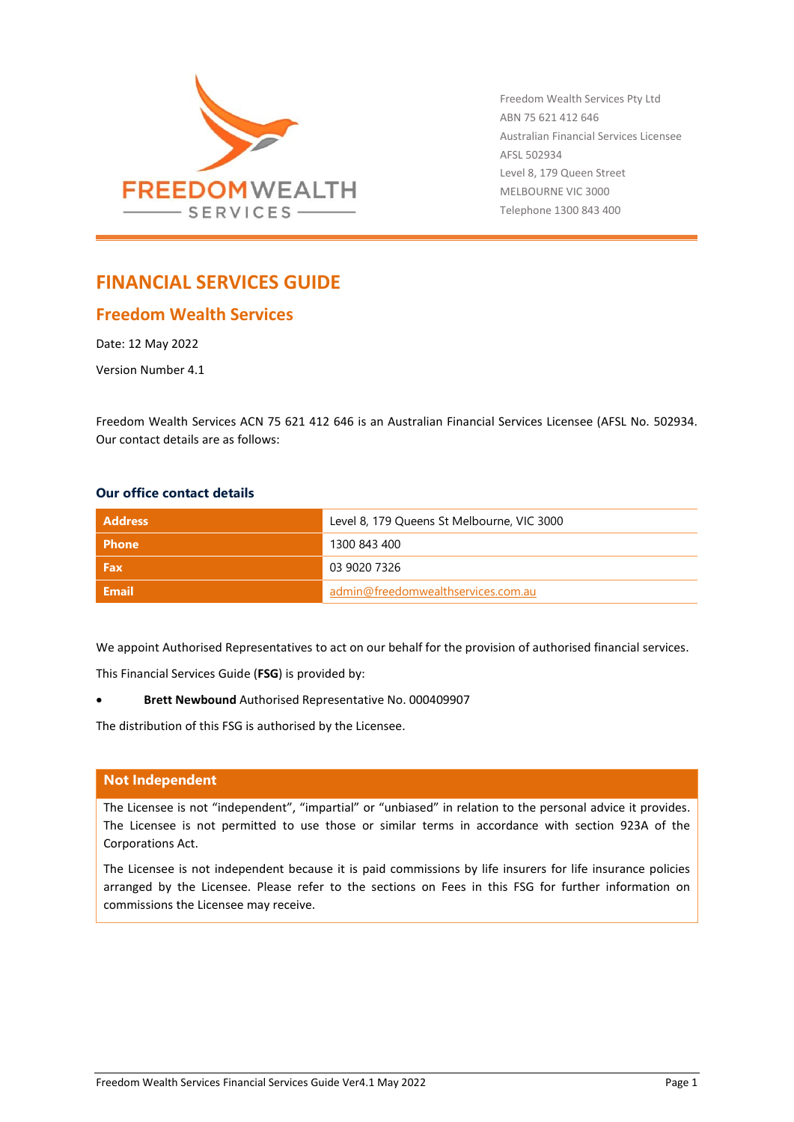

Freedom Wealth Services Pty Ltd ABN 75 621 412 646 Australian Financial Services Licensee AFSL 502934 Level 8, 179 Queen Street MELBOURNE VIC 3000 Telephone 1300 843 400

# **FINANCIAL SERVICES GUIDE**

## **Freedom Wealth Services**

Date: 12 May 2022

Version Number 4.1

Freedom Wealth Services ACN 75 621 412 646 is an Australian Financial Services Licensee (AFSL No. 502934. Our contact details are as follows:

## **Our office contact details**

| <b>Address</b> | Level 8, 179 Queens St Melbourne, VIC 3000 |
|----------------|--------------------------------------------|
| <b>Phone</b>   | 1300 843 400                               |
| Fax            | 03 9020 7326                               |
| Email          | admin@freedomwealthservices.com.au         |

We appoint Authorised Representatives to act on our behalf for the provision of authorised financial services.

This Financial Services Guide (**FSG**) is provided by:

• **Brett Newbound** Authorised Representative No. 000409907

The distribution of this FSG is authorised by the Licensee.

## **Not Independent**

The Licensee is not "independent", "impartial" or "unbiased" in relation to the personal advice it provides. The Licensee is not permitted to use those or similar terms in accordance with section 923A of the Corporations Act.

The Licensee is not independent because it is paid commissions by life insurers for life insurance policies arranged by the Licensee. Please refer to the sections on Fees in this FSG for further information on commissions the Licensee may receive.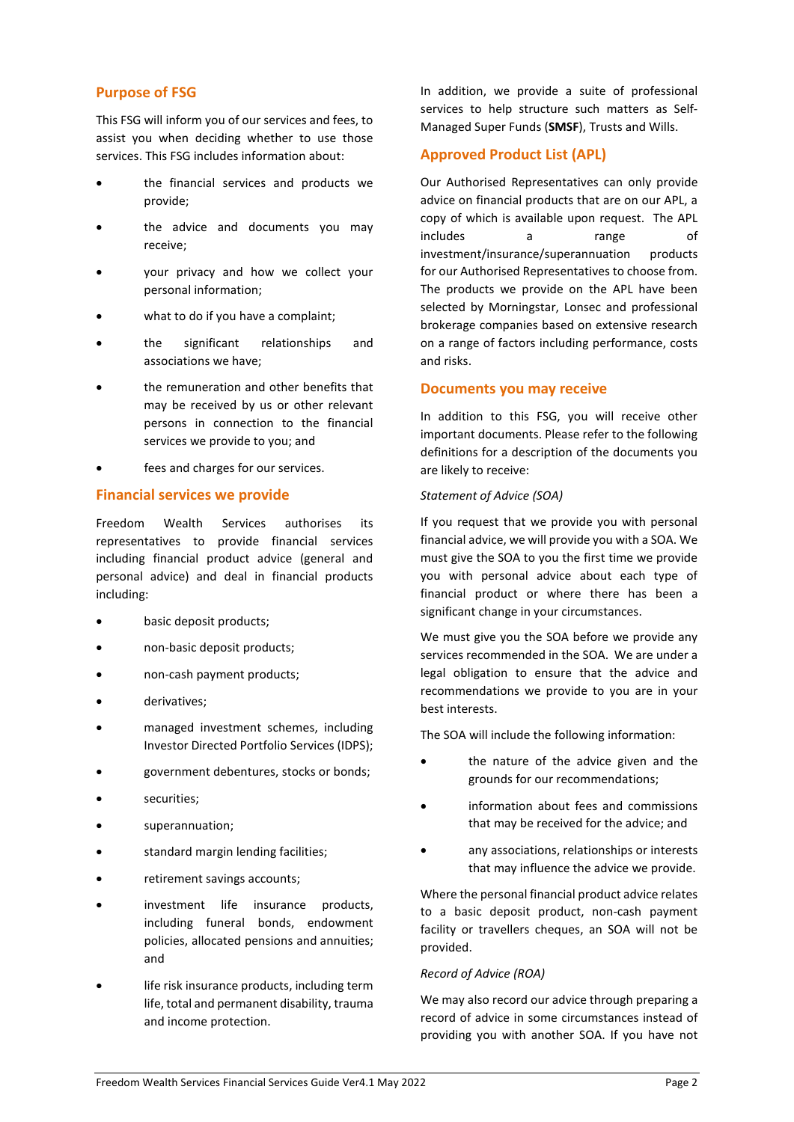## **Purpose of FSG**

This FSG will inform you of our services and fees, to assist you when deciding whether to use those services. This FSG includes information about:

- the financial services and products we provide;
- the advice and documents you may receive;
- your privacy and how we collect your personal information;
- what to do if you have a complaint;
- the significant relationships and associations we have;
- the remuneration and other benefits that may be received by us or other relevant persons in connection to the financial services we provide to you; and
- fees and charges for our services.

## **Financial services we provide**

Freedom Wealth Services authorises its representatives to provide financial services including financial product advice (general and personal advice) and deal in financial products including:

- basic deposit products;
- non-basic deposit products;
- non-cash payment products;
- derivatives;
- managed investment schemes, including Investor Directed Portfolio Services (IDPS);
- government debentures, stocks or bonds;
- securities;
- superannuation:
- standard margin lending facilities;
- retirement savings accounts;
- investment life insurance products, including funeral bonds, endowment policies, allocated pensions and annuities; and
- life risk insurance products, including term life, total and permanent disability, trauma and income protection.

In addition, we provide a suite of professional services to help structure such matters as Self-Managed Super Funds (**SMSF**), Trusts and Wills.

## **Approved Product List (APL)**

Our Authorised Representatives can only provide advice on financial products that are on our APL, a copy of which is available upon request. The APL includes a range of investment/insurance/superannuation products for our Authorised Representatives to choose from. The products we provide on the APL have been selected by Morningstar, Lonsec and professional brokerage companies based on extensive research on a range of factors including performance, costs and risks.

#### **Documents you may receive**

In addition to this FSG, you will receive other important documents. Please refer to the following definitions for a description of the documents you are likely to receive:

#### *Statement of Advice (SOA)*

If you request that we provide you with personal financial advice, we will provide you with a SOA. We must give the SOA to you the first time we provide you with personal advice about each type of financial product or where there has been a significant change in your circumstances.

We must give you the SOA before we provide any services recommended in the SOA. We are under a legal obligation to ensure that the advice and recommendations we provide to you are in your best interests.

The SOA will include the following information:

- the nature of the advice given and the grounds for our recommendations;
- information about fees and commissions that may be received for the advice; and
- any associations, relationships or interests that may influence the advice we provide.

Where the personal financial product advice relates to a basic deposit product, non-cash payment facility or travellers cheques, an SOA will not be provided.

### *Record of Advice (ROA)*

We may also record our advice through preparing a record of advice in some circumstances instead of providing you with another SOA. If you have not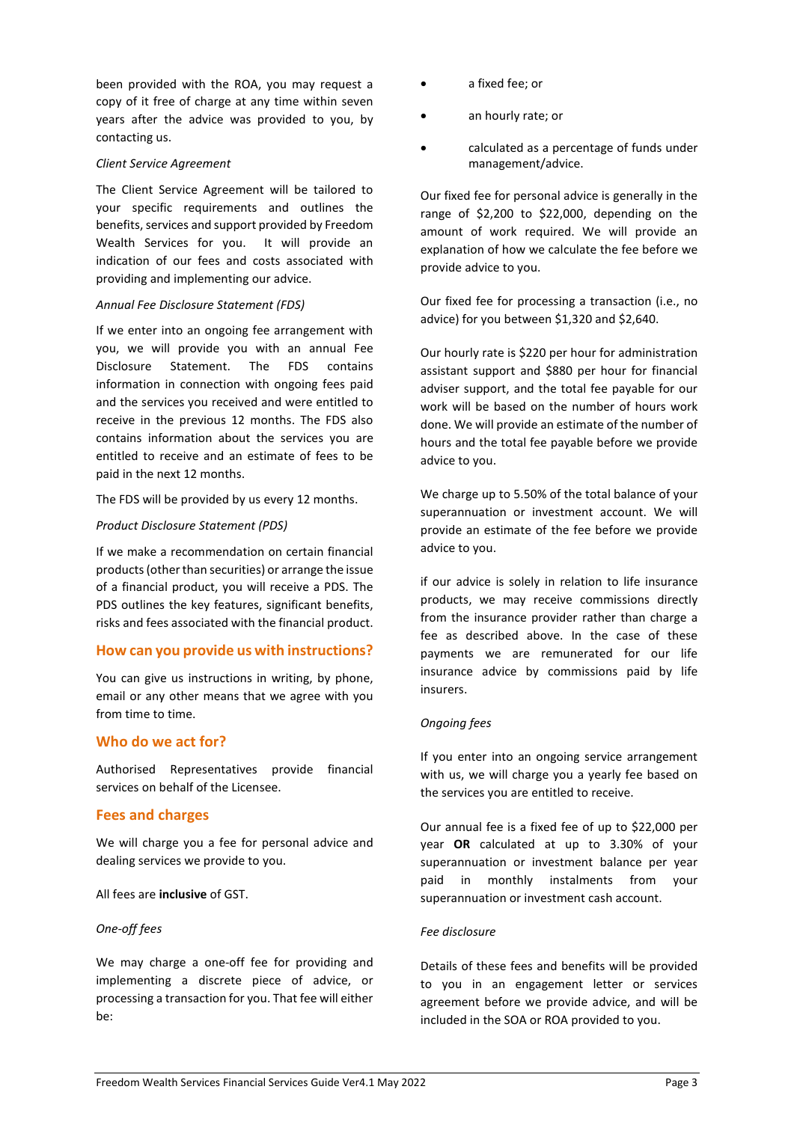been provided with the ROA, you may request a copy of it free of charge at any time within seven years after the advice was provided to you, by contacting us.

#### *Client Service Agreement*

The Client Service Agreement will be tailored to your specific requirements and outlines the benefits, services and support provided by Freedom Wealth Services for you. It will provide an indication of our fees and costs associated with providing and implementing our advice.

#### *Annual Fee Disclosure Statement (FDS)*

If we enter into an ongoing fee arrangement with you, we will provide you with an annual Fee Disclosure Statement. The FDS contains information in connection with ongoing fees paid and the services you received and were entitled to receive in the previous 12 months. The FDS also contains information about the services you are entitled to receive and an estimate of fees to be paid in the next 12 months.

The FDS will be provided by us every 12 months.

#### *Product Disclosure Statement (PDS)*

If we make a recommendation on certain financial products (other than securities) or arrange the issue of a financial product, you will receive a PDS. The PDS outlines the key features, significant benefits, risks and fees associated with the financial product.

## **How can you provide us with instructions?**

You can give us instructions in writing, by phone, email or any other means that we agree with you from time to time.

## **Who do we act for?**

Authorised Representatives provide financial services on behalf of the Licensee.

## **Fees and charges**

We will charge you a fee for personal advice and dealing services we provide to you.

All fees are **inclusive** of GST.

#### *One-off fees*

We may charge a one-off fee for providing and implementing a discrete piece of advice, or processing a transaction for you. That fee will either be:

- a fixed fee; or
- an hourly rate; or
- calculated as a percentage of funds under management/advice.

Our fixed fee for personal advice is generally in the range of \$2,200 to \$22,000, depending on the amount of work required. We will provide an explanation of how we calculate the fee before we provide advice to you.

Our fixed fee for processing a transaction (i.e., no advice) for you between \$1,320 and \$2,640.

Our hourly rate is \$220 per hour for administration assistant support and \$880 per hour for financial adviser support, and the total fee payable for our work will be based on the number of hours work done. We will provide an estimate of the number of hours and the total fee payable before we provide advice to you.

We charge up to 5.50% of the total balance of your superannuation or investment account. We will provide an estimate of the fee before we provide advice to you.

if our advice is solely in relation to life insurance products, we may receive commissions directly from the insurance provider rather than charge a fee as described above. In the case of these payments we are remunerated for our life insurance advice by commissions paid by life insurers.

#### *Ongoing fees*

If you enter into an ongoing service arrangement with us, we will charge you a yearly fee based on the services you are entitled to receive.

Our annual fee is a fixed fee of up to \$22,000 per year **OR** calculated at up to 3.30% of your superannuation or investment balance per year paid in monthly instalments from your superannuation or investment cash account.

#### *Fee disclosure*

Details of these fees and benefits will be provided to you in an engagement letter or services agreement before we provide advice, and will be included in the SOA or ROA provided to you.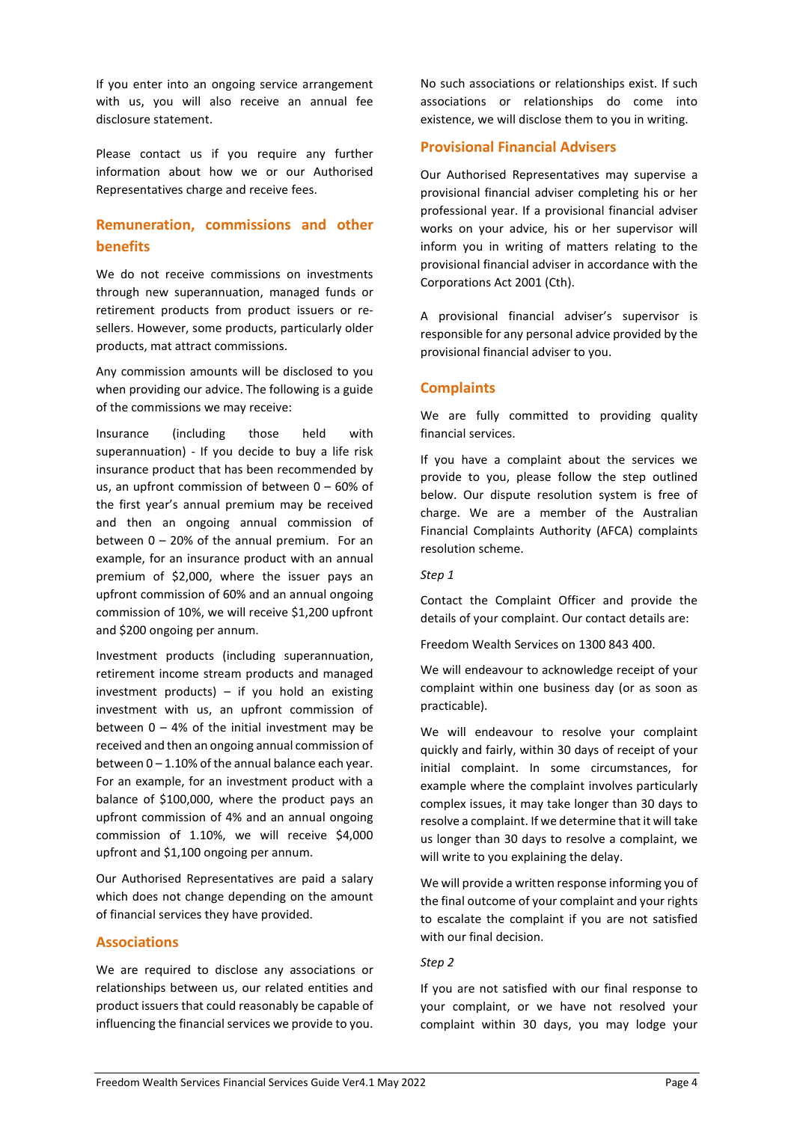If you enter into an ongoing service arrangement with us, you will also receive an annual fee disclosure statement.

Please contact us if you require any further information about how we or our Authorised Representatives charge and receive fees.

## **Remuneration, commissions and other benefits**

We do not receive commissions on investments through new superannuation, managed funds or retirement products from product issuers or resellers. However, some products, particularly older products, mat attract commissions.

Any commission amounts will be disclosed to you when providing our advice. The following is a guide of the commissions we may receive:

Insurance (including those held with superannuation) - If you decide to buy a life risk insurance product that has been recommended by us, an upfront commission of between 0 – 60% of the first year's annual premium may be received and then an ongoing annual commission of between  $0 - 20%$  of the annual premium. For an example, for an insurance product with an annual premium of \$2,000, where the issuer pays an upfront commission of 60% and an annual ongoing commission of 10%, we will receive \$1,200 upfront and \$200 ongoing per annum.

Investment products (including superannuation, retirement income stream products and managed investment products)  $-$  if you hold an existing investment with us, an upfront commission of between  $0 - 4%$  of the initial investment may be received and then an ongoing annual commission of between 0 – 1.10% of the annual balance each year. For an example, for an investment product with a balance of \$100,000, where the product pays an upfront commission of 4% and an annual ongoing commission of 1.10%, we will receive \$4,000 upfront and \$1,100 ongoing per annum.

Our Authorised Representatives are paid a salary which does not change depending on the amount of financial services they have provided.

## **Associations**

We are required to disclose any associations or relationships between us, our related entities and product issuers that could reasonably be capable of influencing the financial services we provide to you.

No such associations or relationships exist. If such associations or relationships do come into existence, we will disclose them to you in writing.

## **Provisional Financial Advisers**

Our Authorised Representatives may supervise a provisional financial adviser completing his or her professional year. If a provisional financial adviser works on your advice, his or her supervisor will inform you in writing of matters relating to the provisional financial adviser in accordance with the Corporations Act 2001 (Cth).

A provisional financial adviser's supervisor is responsible for any personal advice provided by the provisional financial adviser to you.

## **Complaints**

We are fully committed to providing quality financial services.

If you have a complaint about the services we provide to you, please follow the step outlined below. Our dispute resolution system is free of charge. We are a member of the Australian Financial Complaints Authority (AFCA) complaints resolution scheme.

#### *Step 1*

Contact the Complaint Officer and provide the details of your complaint. Our contact details are:

Freedom Wealth Services on 1300 843 400.

We will endeavour to acknowledge receipt of your complaint within one business day (or as soon as practicable).

We will endeavour to resolve your complaint quickly and fairly, within 30 days of receipt of your initial complaint. In some circumstances, for example where the complaint involves particularly complex issues, it may take longer than 30 days to resolve a complaint. If we determine that it will take us longer than 30 days to resolve a complaint, we will write to you explaining the delay.

We will provide a written response informing you of the final outcome of your complaint and your rights to escalate the complaint if you are not satisfied with our final decision.

#### *Step 2*

If you are not satisfied with our final response to your complaint, or we have not resolved your complaint within 30 days, you may lodge your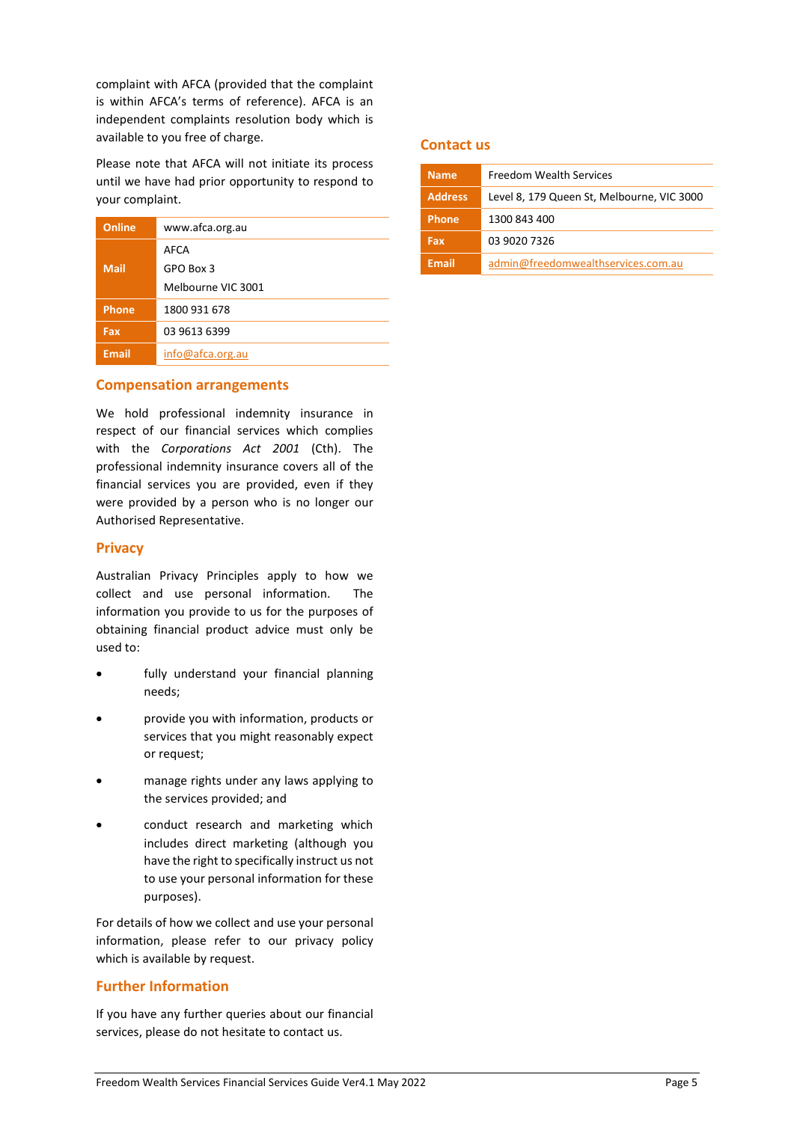complaint with AFCA (provided that the complaint is within AFCA's terms of reference). AFCA is an independent complaints resolution body which is available to you free of charge.

Please note that AFCA will not initiate its process until we have had prior opportunity to respond to your complaint.

| Online       | www.afca.org.au    |
|--------------|--------------------|
|              | AFCA               |
| <b>Mail</b>  | GPO Box 3          |
|              | Melbourne VIC 3001 |
| <b>Phone</b> | 1800 931 678       |
| Fax          | 03 9613 6399       |
| <b>Email</b> | info@afca.org.au   |

## **Compensation arrangements**

We hold professional indemnity insurance in respect of our financial services which complies with the *Corporations Act 2001* (Cth). The professional indemnity insurance covers all of the financial services you are provided, even if they were provided by a person who is no longer our Authorised Representative.

## **Privacy**

Australian Privacy Principles apply to how we collect and use personal information. The information you provide to us for the purposes of obtaining financial product advice must only be used to:

- fully understand your financial planning needs;
- provide you with information, products or services that you might reasonably expect or request;
- manage rights under any laws applying to the services provided; and
- conduct research and marketing which includes direct marketing (although you have the right to specifically instruct us not to use your personal information for these purposes).

For details of how we collect and use your personal information, please refer to our privacy policy which is available by request.

## **Further Information**

If you have any further queries about our financial services, please do not hesitate to contact us.

## **Contact us**

| <b>Name</b>    | <b>Freedom Wealth Services</b>             |
|----------------|--------------------------------------------|
| <b>Address</b> | Level 8, 179 Queen St, Melbourne, VIC 3000 |
| <b>Phone</b>   | 1300 843 400                               |
| Fax            | 03 9020 7326                               |
| <b>Email</b>   | admin@freedomwealthservices.com.au         |